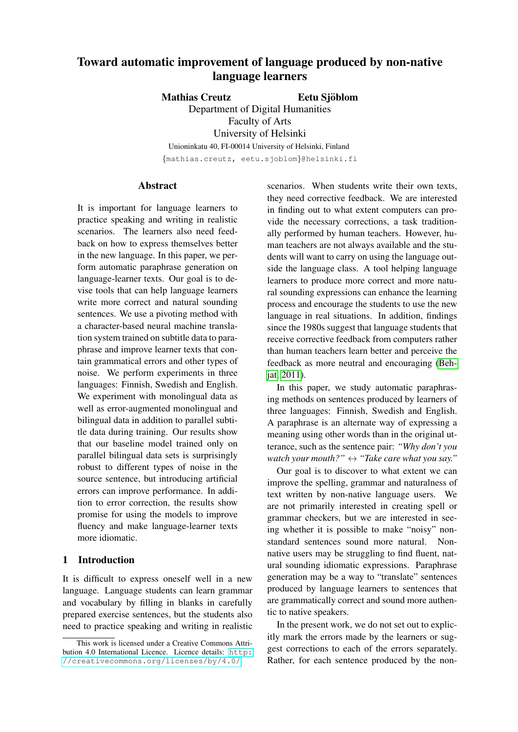# Toward automatic improvement of language produced by non-native language learners

Mathias Creutz in Eetu Sjöblom

Department of Digital Humanities Faculty of Arts University of Helsinki Unioninkatu 40, FI-00014 University of Helsinki, Finland {mathias.creutz, eetu.sjoblom}@helsinki.fi

#### Abstract

It is important for language learners to practice speaking and writing in realistic scenarios. The learners also need feedback on how to express themselves better in the new language. In this paper, we perform automatic paraphrase generation on language-learner texts. Our goal is to devise tools that can help language learners write more correct and natural sounding sentences. We use a pivoting method with a character-based neural machine translation system trained on subtitle data to paraphrase and improve learner texts that contain grammatical errors and other types of noise. We perform experiments in three languages: Finnish, Swedish and English. We experiment with monolingual data as well as error-augmented monolingual and bilingual data in addition to parallel subtitle data during training. Our results show that our baseline model trained only on parallel bilingual data sets is surprisingly robust to different types of noise in the source sentence, but introducing artificial errors can improve performance. In addition to error correction, the results show promise for using the models to improve fluency and make language-learner texts more idiomatic.

# 1 Introduction

It is difficult to express oneself well in a new language. Language students can learn grammar and vocabulary by filling in blanks in carefully prepared exercise sentences, but the students also need to practice speaking and writing in realistic

scenarios. When students write their own texts, they need corrective feedback. We are interested in finding out to what extent computers can provide the necessary corrections, a task traditionally performed by human teachers. However, human teachers are not always available and the students will want to carry on using the language outside the language class. A tool helping language learners to produce more correct and more natural sounding expressions can enhance the learning process and encourage the students to use the new language in real situations. In addition, findings since the 1980s suggest that language students that receive corrective feedback from computers rather than human teachers learn better and perceive the feedback as more neutral and encouraging [\(Beh](#page-8-0)[jat, 2011\)](#page-8-0).

In this paper, we study automatic paraphrasing methods on sentences produced by learners of three languages: Finnish, Swedish and English. A paraphrase is an alternate way of expressing a meaning using other words than in the original utterance, such as the sentence pair: *"Why don't you watch your mouth?"* ↔ *"Take care what you say."*

Our goal is to discover to what extent we can improve the spelling, grammar and naturalness of text written by non-native language users. We are not primarily interested in creating spell or grammar checkers, but we are interested in seeing whether it is possible to make "noisy" nonstandard sentences sound more natural. Nonnative users may be struggling to find fluent, natural sounding idiomatic expressions. Paraphrase generation may be a way to "translate" sentences produced by language learners to sentences that are grammatically correct and sound more authentic to native speakers.

In the present work, we do not set out to explicitly mark the errors made by the learners or suggest corrections to each of the errors separately. Rather, for each sentence produced by the non-

This work is licensed under a Creative Commons Attribution 4.0 International Licence. Licence details: [http:](http://creativecommons.org/licenses/by/4.0/) [//creativecommons.org/licenses/by/4.0/](http://creativecommons.org/licenses/by/4.0/)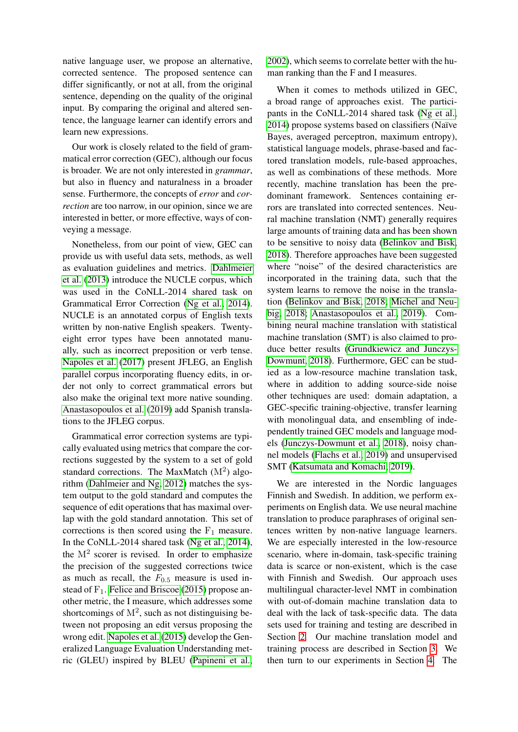native language user, we propose an alternative, corrected sentence. The proposed sentence can differ significantly, or not at all, from the original sentence, depending on the quality of the original input. By comparing the original and altered sentence, the language learner can identify errors and learn new expressions.

Our work is closely related to the field of grammatical error correction (GEC), although our focus is broader. We are not only interested in *grammar*, but also in fluency and naturalness in a broader sense. Furthermore, the concepts of *error* and *correction* are too narrow, in our opinion, since we are interested in better, or more effective, ways of conveying a message.

Nonetheless, from our point of view, GEC can provide us with useful data sets, methods, as well as evaluation guidelines and metrics. [Dahlmeier](#page-9-0) [et al.](#page-9-0) [\(2013\)](#page-9-0) introduce the NUCLE corpus, which was used in the CoNLL-2014 shared task on Grammatical Error Correction [\(Ng et al., 2014\)](#page-10-0). NUCLE is an annotated corpus of English texts written by non-native English speakers. Twentyeight error types have been annotated manually, such as incorrect preposition or verb tense. [Napoles et al.](#page-10-1) [\(2017\)](#page-10-1) present JFLEG, an English parallel corpus incorporating fluency edits, in order not only to correct grammatical errors but also make the original text more native sounding. [Anastasopoulos et al.](#page-8-1) [\(2019\)](#page-8-1) add Spanish translations to the JFLEG corpus.

Grammatical error correction systems are typically evaluated using metrics that compare the corrections suggested by the system to a set of gold standard corrections. The MaxMatch  $(M<sup>2</sup>)$  algorithm [\(Dahlmeier and Ng, 2012\)](#page-9-1) matches the system output to the gold standard and computes the sequence of edit operations that has maximal overlap with the gold standard annotation. This set of corrections is then scored using the  $F_1$  measure. In the CoNLL-2014 shared task [\(Ng et al., 2014\)](#page-10-0), the  $M^2$  scorer is revised. In order to emphasize the precision of the suggested corrections twice as much as recall, the  $F_{0.5}$  measure is used instead of  $F_1$ . [Felice and Briscoe](#page-9-2) [\(2015\)](#page-9-2) propose another metric, the I measure, which addresses some shortcomings of  $M^2$ , such as not distinguising between not proposing an edit versus proposing the wrong edit. [Napoles et al.](#page-10-2) [\(2015\)](#page-10-2) develop the Generalized Language Evaluation Understanding metric (GLEU) inspired by BLEU [\(Papineni et al.,](#page-10-3)

[2002\)](#page-10-3), which seems to correlate better with the human ranking than the F and I measures.

When it comes to methods utilized in GEC, a broad range of approaches exist. The participants in the CoNLL-2014 shared task [\(Ng et al.,](#page-10-0) [2014\)](#page-10-0) propose systems based on classifiers (Naïve Bayes, averaged perceptron, maximum entropy), statistical language models, phrase-based and factored translation models, rule-based approaches, as well as combinations of these methods. More recently, machine translation has been the predominant framework. Sentences containing errors are translated into corrected sentences. Neural machine translation (NMT) generally requires large amounts of training data and has been shown to be sensitive to noisy data [\(Belinkov and Bisk,](#page-8-2) [2018\)](#page-8-2). Therefore approaches have been suggested where "noise" of the desired characteristics are incorporated in the training data, such that the system learns to remove the noise in the translation [\(Belinkov and Bisk, 2018;](#page-8-2) [Michel and Neu](#page-10-4)[big, 2018;](#page-10-4) [Anastasopoulos et al., 2019\)](#page-8-1). Combining neural machine translation with statistical machine translation (SMT) is also claimed to produce better results [\(Grundkiewicz and Junczys-](#page-9-3)[Dowmunt, 2018\)](#page-9-3). Furthermore, GEC can be studied as a low-resource machine translation task, where in addition to adding source-side noise other techniques are used: domain adaptation, a GEC-specific training-objective, transfer learning with monolingual data, and ensembling of independently trained GEC models and language models [\(Junczys-Dowmunt et al., 2018\)](#page-9-4), noisy channel models [\(Flachs et al., 2019\)](#page-9-5) and unsupervised SMT [\(Katsumata and Komachi, 2019\)](#page-9-6).

We are interested in the Nordic languages Finnish and Swedish. In addition, we perform experiments on English data. We use neural machine translation to produce paraphrases of original sentences written by non-native language learners. We are especially interested in the low-resource scenario, where in-domain, task-specific training data is scarce or non-existent, which is the case with Finnish and Swedish. Our approach uses multilingual character-level NMT in combination with out-of-domain machine translation data to deal with the lack of task-specific data. The data sets used for training and testing are described in Section [2.](#page-2-0) Our machine translation model and training process are described in Section [3.](#page-3-0) We then turn to our experiments in Section [4.](#page-3-1) The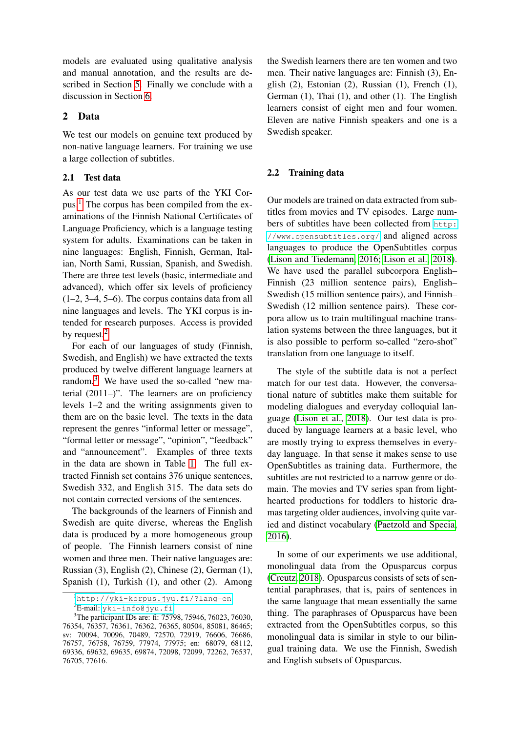models are evaluated using qualitative analysis and manual annotation, and the results are described in Section [5.](#page-4-0) Finally we conclude with a discussion in Section [6.](#page-5-0)

#### <span id="page-2-0"></span>2 Data

We test our models on genuine text produced by non-native language learners. For training we use a large collection of subtitles.

#### 2.1 Test data

As our test data we use parts of the YKI Corpus.[1](#page-2-1) The corpus has been compiled from the examinations of the Finnish National Certificates of Language Proficiency, which is a language testing system for adults. Examinations can be taken in nine languages: English, Finnish, German, Italian, North Sami, Russian, Spanish, and Swedish. There are three test levels (basic, intermediate and advanced), which offer six levels of proficiency (1–2, 3–4, 5–6). The corpus contains data from all nine languages and levels. The YKI corpus is intended for research purposes. Access is provided by request.<sup>[2](#page-2-2)</sup>

For each of our languages of study (Finnish, Swedish, and English) we have extracted the texts produced by twelve different language learners at random.<sup>[3](#page-2-3)</sup> We have used the so-called "new material (2011–)". The learners are on proficiency levels 1–2 and the writing assignments given to them are on the basic level. The texts in the data represent the genres "informal letter or message", "formal letter or message", "opinion", "feedback" and "announcement". Examples of three texts in the data are shown in Table [1.](#page-3-2) The full extracted Finnish set contains 376 unique sentences, Swedish 332, and English 315. The data sets do not contain corrected versions of the sentences.

The backgrounds of the learners of Finnish and Swedish are quite diverse, whereas the English data is produced by a more homogeneous group of people. The Finnish learners consist of nine women and three men. Their native languages are: Russian (3), English (2), Chinese (2), German (1), Spanish (1), Turkish (1), and other (2). Among

the Swedish learners there are ten women and two men. Their native languages are: Finnish (3), English (2), Estonian (2), Russian (1), French (1), German (1), Thai (1), and other (1). The English learners consist of eight men and four women. Eleven are native Finnish speakers and one is a Swedish speaker.

#### 2.2 Training data

Our models are trained on data extracted from subtitles from movies and TV episodes. Large numbers of subtitles have been collected from [http:](http://www.opensubtitles.org/) [//www.opensubtitles.org/](http://www.opensubtitles.org/) and aligned across languages to produce the OpenSubtitles corpus [\(Lison and Tiedemann, 2016;](#page-10-5) [Lison et al., 2018\)](#page-10-6). We have used the parallel subcorpora English– Finnish (23 million sentence pairs), English– Swedish (15 million sentence pairs), and Finnish– Swedish (12 million sentence pairs). These corpora allow us to train multilingual machine translation systems between the three languages, but it is also possible to perform so-called "zero-shot" translation from one language to itself.

The style of the subtitle data is not a perfect match for our test data. However, the conversational nature of subtitles make them suitable for modeling dialogues and everyday colloquial language [\(Lison et al., 2018\)](#page-10-6). Our test data is produced by language learners at a basic level, who are mostly trying to express themselves in everyday language. In that sense it makes sense to use OpenSubtitles as training data. Furthermore, the subtitles are not restricted to a narrow genre or domain. The movies and TV series span from lighthearted productions for toddlers to historic dramas targeting older audiences, involving quite varied and distinct vocabulary [\(Paetzold and Specia,](#page-10-7) [2016\)](#page-10-7).

In some of our experiments we use additional, monolingual data from the Opusparcus corpus [\(Creutz, 2018\)](#page-9-7). Opusparcus consists of sets of sentential paraphrases, that is, pairs of sentences in the same language that mean essentially the same thing. The paraphrases of Opusparcus have been extracted from the OpenSubtitles corpus, so this monolingual data is similar in style to our bilingual training data. We use the Finnish, Swedish and English subsets of Opusparcus.

<span id="page-2-1"></span><sup>1</sup><http://yki-korpus.jyu.fi/?lang=en>

<span id="page-2-3"></span><span id="page-2-2"></span> ${}^{2}E$ -mail: [yki-info@jyu.fi](mailto:yki-info@jyu.fi)

<sup>&</sup>lt;sup>3</sup>The participant IDs are: fi: 75798, 75946, 76023, 76030, 76354, 76357, 76361, 76362, 76365, 80504, 85081, 86465; sv: 70094, 70096, 70489, 72570, 72919, 76606, 76686, 76757, 76758, 76759, 77974, 77975; en: 68079, 68112, 69336, 69632, 69635, 69874, 72098, 72099, 72262, 76537, 76705, 77616.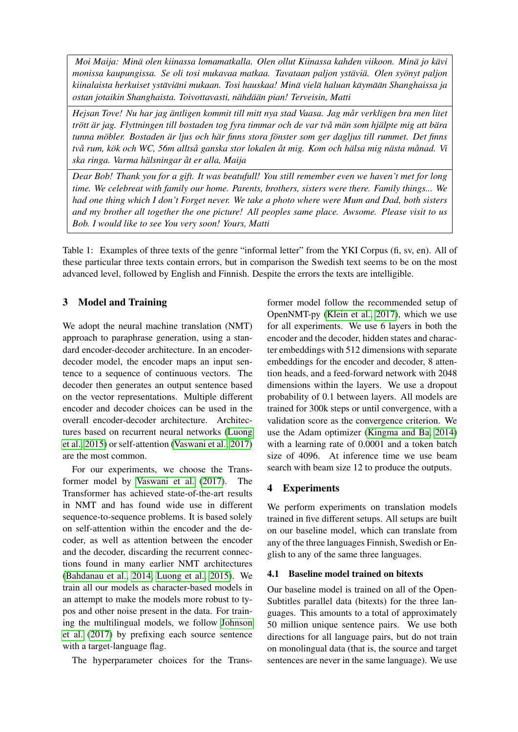*Moi Maija: Mina olen kiinassa lomamatkalla. Olen ollut Kiinassa kahden viikoon. Min ¨ a jo k ¨ avi ¨ monissa kaupungissa. Se oli tosi mukavaa matkaa. Tavataan paljon ystavi ¨ a. Olen sy ¨ onyt paljon ¨ kiinalaista herkuiset ystavi ¨ ani mukaan. Tosi hauskaa! Min ¨ a viel ¨ a haluan k ¨ aym¨ a¨an Shanghaissa ja ¨ ostan jotaikin Shanghaista. Toivottavasti, nahd ¨ a¨an pian! Terveisin, Matti ¨*

*Hejsan Tove! Nu har jag äntligen kommit till mitt nya stad Vaasa. Jag mår verkligen bra men litet trott ¨ ar jag. Flyttningen till bostaden tog fyra timmar och de var tv ¨ a m˚ an som hj ¨ alpte mig att b ¨ ara ¨ tunna mobler. Bostaden ¨ ar ljus och h ¨ ar finns stora f ¨ onster som ger dagljus till rummet. Det finns ¨ tva rum, k ˚ ok och WC, 56m allts ¨ a ganska stor lokalen ˚ at mig. Kom och h ˚ alsa mig n ¨ asta m ¨ anad. Vi ˚ ska ringa. Varma halsningar ¨ at er alla, Maija ˚*

*Dear Bob! Thank you for a gift. It was beatufull! You still remember even we haven't met for long time. We celebreat with family our home. Parents, brothers, sisters were there. Family things... We had one thing which I don't Forget never. We take a photo where were Mum and Dad, both sisters and my brother all together the one picture! All peoples same place. Awsome. Please visit to us Bob. I would like to see You very soon! Yours, Matti*

<span id="page-3-2"></span>Table 1: Examples of three texts of the genre "informal letter" from the YKI Corpus (fi, sv, en). All of these particular three texts contain errors, but in comparison the Swedish text seems to be on the most advanced level, followed by English and Finnish. Despite the errors the texts are intelligible.

# <span id="page-3-0"></span>3 Model and Training

We adopt the neural machine translation (NMT) approach to paraphrase generation, using a standard encoder-decoder architecture. In an encoderdecoder model, the encoder maps an input sentence to a sequence of continuous vectors. The decoder then generates an output sentence based on the vector representations. Multiple different encoder and decoder choices can be used in the overall encoder-decoder architecture. Architectures based on recurrent neural networks [\(Luong](#page-10-8) [et al., 2015\)](#page-10-8) or self-attention [\(Vaswani et al., 2017\)](#page-10-9) are the most common.

For our experiments, we choose the Transformer model by [Vaswani et al.](#page-10-9) [\(2017\)](#page-10-9). The Transformer has achieved state-of-the-art results in NMT and has found wide use in different sequence-to-sequence problems. It is based solely on self-attention within the encoder and the decoder, as well as attention between the encoder and the decoder, discarding the recurrent connections found in many earlier NMT architectures [\(Bahdanau et al., 2014;](#page-8-3) [Luong et al., 2015\)](#page-10-8). We train all our models as character-based models in an attempt to make the models more robust to typos and other noise present in the data. For training the multilingual models, we follow [Johnson](#page-9-8) [et al.](#page-9-8) [\(2017\)](#page-9-8) by prefixing each source sentence with a target-language flag.

The hyperparameter choices for the Trans-

former model follow the recommended setup of OpenNMT-py [\(Klein et al., 2017\)](#page-9-9), which we use for all experiments. We use 6 layers in both the encoder and the decoder, hidden states and character embeddings with 512 dimensions with separate embeddings for the encoder and decoder, 8 attention heads, and a feed-forward network with 2048 dimensions within the layers. We use a dropout probability of 0.1 between layers. All models are trained for 300k steps or until convergence, with a validation score as the convergence criterion. We use the Adam optimizer [\(Kingma and Ba, 2014\)](#page-9-10) with a learning rate of 0.0001 and a token batch size of 4096. At inference time we use beam search with beam size 12 to produce the outputs.

# <span id="page-3-1"></span>4 Experiments

We perform experiments on translation models trained in five different setups. All setups are built on our baseline model, which can translate from any of the three languages Finnish, Swedish or English to any of the same three languages.

## <span id="page-3-3"></span>4.1 Baseline model trained on bitexts

Our baseline model is trained on all of the Open-Subtitles parallel data (bitexts) for the three languages. This amounts to a total of approximately 50 million unique sentence pairs. We use both directions for all language pairs, but do not train on monolingual data (that is, the source and target sentences are never in the same language). We use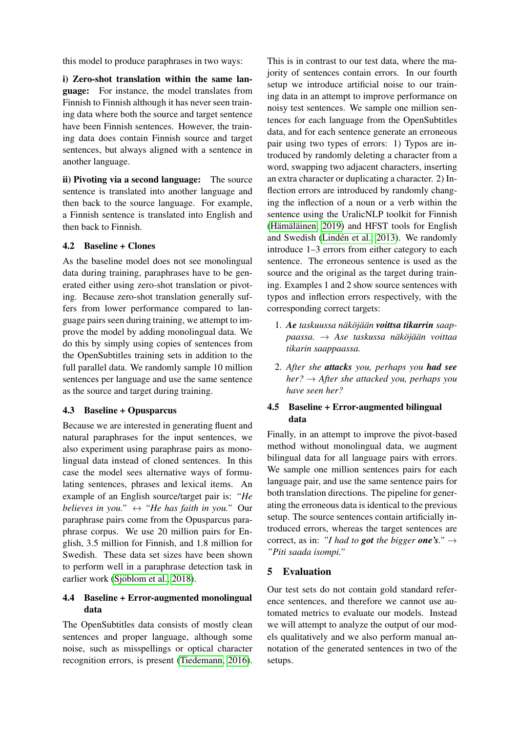this model to produce paraphrases in two ways:

i) Zero-shot translation within the same language: For instance, the model translates from Finnish to Finnish although it has never seen training data where both the source and target sentence have been Finnish sentences. However, the training data does contain Finnish source and target sentences, but always aligned with a sentence in another language.

ii) Pivoting via a second language: The source sentence is translated into another language and then back to the source language. For example, a Finnish sentence is translated into English and then back to Finnish.

#### <span id="page-4-1"></span>4.2 Baseline + Clones

As the baseline model does not see monolingual data during training, paraphrases have to be generated either using zero-shot translation or pivoting. Because zero-shot translation generally suffers from lower performance compared to language pairs seen during training, we attempt to improve the model by adding monolingual data. We do this by simply using copies of sentences from the OpenSubtitles training sets in addition to the full parallel data. We randomly sample 10 million sentences per language and use the same sentence as the source and target during training.

## <span id="page-4-2"></span>4.3 Baseline + Opusparcus

Because we are interested in generating fluent and natural paraphrases for the input sentences, we also experiment using paraphrase pairs as monolingual data instead of cloned sentences. In this case the model sees alternative ways of formulating sentences, phrases and lexical items. An example of an English source/target pair is: *"He believes in you.*"  $\leftrightarrow$  "*He has faith in you.*" Our paraphrase pairs come from the Opusparcus paraphrase corpus. We use 20 million pairs for English, 3.5 million for Finnish, and 1.8 million for Swedish. These data set sizes have been shown to perform well in a paraphrase detection task in earlier work (Sjöblom et al., 2018).

# <span id="page-4-3"></span>4.4 Baseline + Error-augmented monolingual data

The OpenSubtitles data consists of mostly clean sentences and proper language, although some noise, such as misspellings or optical character recognition errors, is present [\(Tiedemann, 2016\)](#page-10-11). This is in contrast to our test data, where the majority of sentences contain errors. In our fourth setup we introduce artificial noise to our training data in an attempt to improve performance on noisy test sentences. We sample one million sentences for each language from the OpenSubtitles data, and for each sentence generate an erroneous pair using two types of errors: 1) Typos are introduced by randomly deleting a character from a word, swapping two adjacent characters, inserting an extra character or duplicating a character. 2) Inflection errors are introduced by randomly changing the inflection of a noun or a verb within the sentence using the UralicNLP toolkit for Finnish  $(Hämäläinen, 2019)$  and HFST tools for English and Swedish (Lindén et al., 2013). We randomly introduce 1–3 errors from either category to each sentence. The erroneous sentence is used as the source and the original as the target during training. Examples 1 and 2 show source sentences with typos and inflection errors respectively, with the corresponding correct targets:

- 1. Ae taskuussa näköjään voittsa tikarrin saap $paassa. → Ase$  *taskussa näköjään voittaa tikarin saappaassa.*
- 2. *After she attacks you, perhaps you had see her?* → *After she attacked you, perhaps you have seen her?*

## <span id="page-4-4"></span>4.5 Baseline + Error-augmented bilingual data

Finally, in an attempt to improve the pivot-based method without monolingual data, we augment bilingual data for all language pairs with errors. We sample one million sentences pairs for each language pair, and use the same sentence pairs for both translation directions. The pipeline for generating the erroneous data is identical to the previous setup. The source sentences contain artificially introduced errors, whereas the target sentences are correct, as in: *"I had to got the bigger one's."*  $\rightarrow$ *"Piti saada isompi."*

## <span id="page-4-0"></span>5 Evaluation

Our test sets do not contain gold standard reference sentences, and therefore we cannot use automated metrics to evaluate our models. Instead we will attempt to analyze the output of our models qualitatively and we also perform manual annotation of the generated sentences in two of the setups.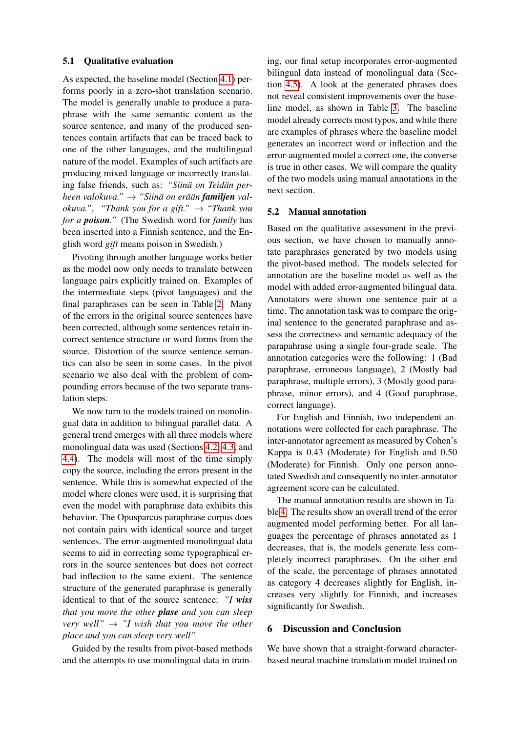#### 5.1 Qualitative evaluation

As expected, the baseline model (Section [4.1\)](#page-3-3) performs poorly in a zero-shot translation scenario. The model is generally unable to produce a paraphrase with the same semantic content as the source sentence, and many of the produced sentences contain artifacts that can be traced back to one of the other languages, and the multilingual nature of the model. Examples of such artifacts are producing mixed language or incorrectly translating false friends, such as: "Siinä on Teidän per*heen valokuva.*" → "Siinä on erään **familjen** val*okuva.", "Thank you for a gift."*  $\rightarrow$  *"Thank you for a poison."* (The Swedish word for *family* has been inserted into a Finnish sentence, and the English word *gift* means poison in Swedish.)

Pivoting through another language works better as the model now only needs to translate between language pairs explicitly trained on. Examples of the intermediate steps (pivot languages) and the final paraphrases can be seen in Table [2.](#page-6-0) Many of the errors in the original source sentences have been corrected, although some sentences retain incorrect sentence structure or word forms from the source. Distortion of the source sentence semantics can also be seen in some cases. In the pivot scenario we also deal with the problem of compounding errors because of the two separate translation steps.

We now turn to the models trained on monolingual data in addition to bilingual parallel data. A general trend emerges with all three models where monolingual data was used (Sections [4.2,](#page-4-1) [4.3,](#page-4-2) and [4.4\)](#page-4-3). The models will most of the time simply copy the source, including the errors present in the sentence. While this is somewhat expected of the model where clones were used, it is surprising that even the model with paraphrase data exhibits this behavior. The Opusparcus paraphrase corpus does not contain pairs with identical source and target sentences. The error-augmented monolingual data seems to aid in correcting some typographical errors in the source sentences but does not correct bad inflection to the same extent. The sentence structure of the generated paraphrase is generally identical to that of the source sentence: *"I wiss that you move the other plase and you can sleep very well*"  $\rightarrow$  "*I wish that you move the other place and you can sleep very well"*

Guided by the results from pivot-based methods and the attempts to use monolingual data in train-

ing, our final setup incorporates error-augmented bilingual data instead of monolingual data (Section [4.5\)](#page-4-4). A look at the generated phrases does not reveal consistent improvements over the baseline model, as shown in Table [3.](#page-7-0) The baseline model already corrects most typos, and while there are examples of phrases where the baseline model generates an incorrect word or inflection and the error-augmented model a correct one, the converse is true in other cases. We will compare the quality of the two models using manual annotations in the next section.

#### 5.2 Manual annotation

Based on the qualitative assessment in the previous section, we have chosen to manually annotate paraphrases generated by two models using the pivot-based method. The models selected for annotation are the baseline model as well as the model with added error-augmented bilingual data. Annotators were shown one sentence pair at a time. The annotation task was to compare the original sentence to the generated paraphrase and assess the correctness and semantic adequacy of the parapahrase using a single four-grade scale. The annotation categories were the following: 1 (Bad paraphrase, erroneous language), 2 (Mostly bad paraphrase, multiple errors), 3 (Mostly good paraphrase, minor errors), and 4 (Good paraphrase, correct language).

For English and Finnish, two independent annotations were collected for each paraphrase. The inter-annotator agreement as measured by Cohen's Kappa is 0.43 (Moderate) for English and 0.50 (Moderate) for Finnish. Only one person annotated Swedish and consequently no inter-annotator agreement score can be calculated.

The manual annotation results are shown in Table [4.](#page-7-1) The results show an overall trend of the error augmented model performing better. For all languages the percentage of phrases annotated as 1 decreases, that is, the models generate less completely incorrect paraphrases. On the other end of the scale, the percentage of phrases annotated as category 4 decreases slightly for English, increases very slightly for Finnish, and increases significantly for Swedish.

## <span id="page-5-0"></span>6 Discussion and Conclusion

We have shown that a straight-forward characterbased neural machine translation model trained on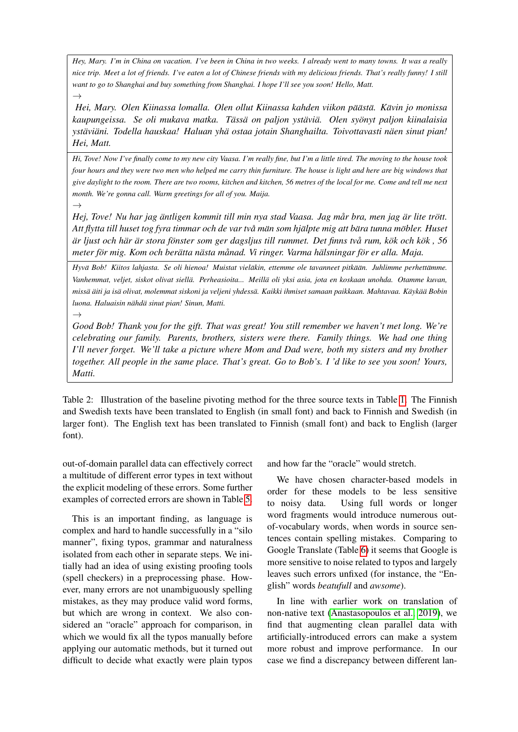*Hey, Mary. I'm in China on vacation. I've been in China in two weeks. I already went to many towns. It was a really nice trip. Meet a lot of friends. I've eaten a lot of Chinese friends with my delicious friends. That's really funny! I still want to go to Shanghai and buy something from Shanghai. I hope I'll see you soon! Hello, Matt.*

*Hei, Mary. Olen Kiinassa lomalla. Olen ollut Kiinassa kahden viikon pa¨ast ¨ a. K ¨ avin jo monissa ¨ kaupungeissa. Se oli mukava matka. Tass ¨ a on paljon yst ¨ avi ¨ a. Olen sy ¨ onyt paljon kiinalaisia ¨ ystavi ¨ ani. Todella hauskaa! Haluan yh ¨ a ostaa jotain Shanghailta. Toivottavasti n ¨ aen sinut pian! ¨ Hei, Matt.*

*Hi, Tove! Now I've finally come to my new city Vaasa. I'm really fine, but I'm a little tired. The moving to the house took four hours and they were two men who helped me carry thin furniture. The house is light and here are big windows that give daylight to the room. There are two rooms, kitchen and kitchen, 56 metres of the local for me. Come and tell me next month. We're gonna call. Warm greetings for all of you. Maija.*

*Hej, Tove! Nu har jag äntligen kommit till min nya stad Vaasa. Jag mår bra, men jag är lite trött. Att flytta till huset tog fyra timmar och de var tva m˚ an som hj ¨ alpte mig att b ¨ ara tunna m ¨ obler. Huset ¨ ar ljust och h ¨ ar¨ ar stora f ¨ onster som ger dagsljus till rummet. Det finns tv ¨ a rum, k ˚ ok och k ¨ ok , 56 ¨ meter for mig. Kom och ber ¨ atta n ¨ asta m ¨ anad. Vi ringer. Varma h ˚ alsningar f ¨ or er alla. Maja. ¨*

*Hyva Bob! Kiitos lahjasta. Se oli hienoa! Muistat viel ¨ akin, ettemme ole tavanneet pitk ¨ a¨an. Juhlimme perhett ¨ amme. ¨* Vanhemmat, veljet, siskot olivat siellä. Perheasioita... Meillä oli yksi asia, jota en koskaan unohda. Otamme kuvan, *missa¨ aiti ja is ¨ a olivat, molemmat siskoni ja veljeni yhdess ¨ a. Kaikki ihmiset samaan paikkaan. Mahtavaa. K ¨ ayk ¨ a¨a Bobin ¨ luona. Haluaisin nähdä sinut pian! Sinun, Matti.* 

*Good Bob! Thank you for the gift. That was great! You still remember we haven't met long. We're celebrating our family. Parents, brothers, sisters were there. Family things. We had one thing I'll never forget. We'll take a picture where Mom and Dad were, both my sisters and my brother together. All people in the same place. That's great. Go to Bob's. I 'd like to see you soon! Yours, Matti.*

<span id="page-6-0"></span>Table 2: Illustration of the baseline pivoting method for the three source texts in Table [1.](#page-3-2) The Finnish and Swedish texts have been translated to English (in small font) and back to Finnish and Swedish (in larger font). The English text has been translated to Finnish (small font) and back to English (larger font).

out-of-domain parallel data can effectively correct a multitude of different error types in text without the explicit modeling of these errors. Some further examples of corrected errors are shown in Table [5.](#page-8-4)

 $\rightarrow$ 

 $\rightarrow$ 

 $\rightarrow$ 

This is an important finding, as language is complex and hard to handle successfully in a "silo manner", fixing typos, grammar and naturalness isolated from each other in separate steps. We initially had an idea of using existing proofing tools (spell checkers) in a preprocessing phase. However, many errors are not unambiguously spelling mistakes, as they may produce valid word forms, but which are wrong in context. We also considered an "oracle" approach for comparison, in which we would fix all the typos manually before applying our automatic methods, but it turned out difficult to decide what exactly were plain typos and how far the "oracle" would stretch.

We have chosen character-based models in order for these models to be less sensitive to noisy data. Using full words or longer word fragments would introduce numerous outof-vocabulary words, when words in source sentences contain spelling mistakes. Comparing to Google Translate (Table [6\)](#page-9-13) it seems that Google is more sensitive to noise related to typos and largely leaves such errors unfixed (for instance, the "English" words *beatufull* and *awsome*).

In line with earlier work on translation of non-native text [\(Anastasopoulos et al., 2019\)](#page-8-1), we find that augmenting clean parallel data with artificially-introduced errors can make a system more robust and improve performance. In our case we find a discrepancy between different lan-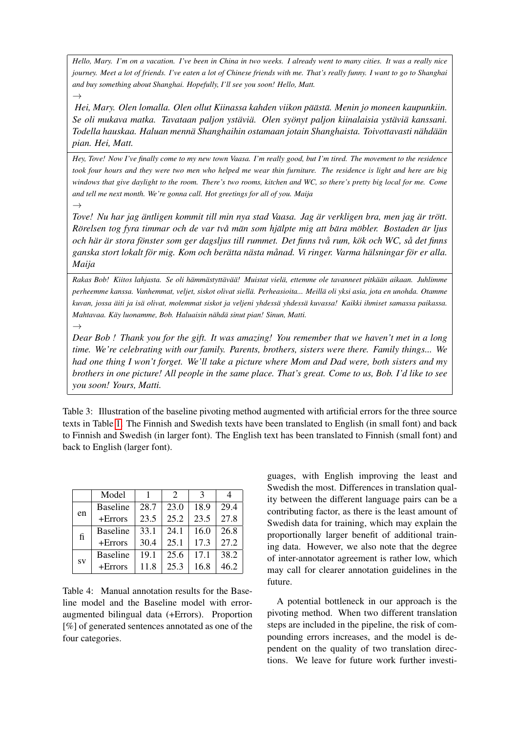*Hello, Mary. I'm on a vacation. I've been in China in two weeks. I already went to many cities. It was a really nice journey. Meet a lot of friends. I've eaten a lot of Chinese friends with me. That's really funny. I want to go to Shanghai and buy something about Shanghai. Hopefully, I'll see you soon! Hello, Matt.*

*Hei, Mary. Olen lomalla. Olen ollut Kiinassa kahden viikon pa¨ast ¨ a. Menin jo moneen kaupunkiin. ¨ Se oli mukava matka. Tavataan paljon ystavi ¨ a. Olen sy ¨ onyt paljon kiinalaisia yst ¨ avi ¨ a kanssani. ¨ Todella hauskaa. Haluan menna Shanghaihin ostamaan jotain Shanghaista. Toivottavasti n ¨ ahd ¨ a¨an¨ pian. Hei, Matt.*

*Hey, Tove! Now I've finally come to my new town Vaasa. I'm really good, but I'm tired. The movement to the residence took four hours and they were two men who helped me wear thin furniture. The residence is light and here are big windows that give daylight to the room. There's two rooms, kitchen and WC, so there's pretty big local for me. Come and tell me next month. We're gonna call. Hot greetings for all of you. Maija*

*Tove! Nu har jag antligen kommit till min nya stad Vaasa. Jag ¨ ar verkligen bra, men jag ¨ ar tr ¨ ott. ¨ Rorelsen tog fyra timmar och de var tv ¨ a m˚ an som hj ¨ alpte mig att b ¨ ara m ¨ obler. Bostaden ¨ ar ljus ¨ och har¨ ar stora f ¨ onster som ger dagsljus till rummet. Det finns tv ¨ a rum, k ˚ ok och WC, s ¨ a det finns ˚ ganska stort lokalt for mig. Kom och ber ¨ atta n ¨ asta m ¨ anad. Vi ringer. Varma h ˚ alsningar f ¨ or er alla. ¨ Maija*

*Rakas Bob! Kiitos lahjasta. Se oli hamm ¨ astytt ¨ av¨ a¨a! Muistat viel ¨ a, ettemme ole tavanneet pitk ¨ a¨an aikaan. Juhlimme ¨ perheemme kanssa. Vanhemmat, veljet, siskot olivat siella. Perheasioita... Meill ¨ a oli yksi asia, jota en unohda. Otamme ¨ kuvan, jossa aiti ja is ¨ a olivat, molemmat siskot ja veljeni yhdess ¨ a yhdess ¨ a kuvassa! Kaikki ihmiset samassa paikassa. ¨ Mahtavaa. Kay luonamme, Bob. Haluaisin n ¨ ahd ¨ a sinut pian! Sinun, Matti. ¨*

*Dear Bob ! Thank you for the gift. It was amazing! You remember that we haven't met in a long time. We're celebrating with our family. Parents, brothers, sisters were there. Family things... We had one thing I won't forget. We'll take a picture where Mom and Dad were, both sisters and my brothers in one picture! All people in the same place. That's great. Come to us, Bob. I'd like to see you soon! Yours, Matti.*

<span id="page-7-0"></span>Table 3: Illustration of the baseline pivoting method augmented with artificial errors for the three source texts in Table [1.](#page-3-2) The Finnish and Swedish texts have been translated to English (in small font) and back to Finnish and Swedish (in larger font). The English text has been translated to Finnish (small font) and back to English (larger font).

|    | Model           |      | $\mathcal{D}$ | 3    | 4    |
|----|-----------------|------|---------------|------|------|
| en | <b>Baseline</b> | 28.7 | 23.0          | 18.9 | 29.4 |
|    | $+Errors$       | 23.5 | 25.2          | 23.5 | 27.8 |
| fi | <b>Baseline</b> | 33.1 | 24.1          | 16.0 | 26.8 |
|    | $+Errors$       | 30.4 | 25.1          | 17.3 | 27.2 |
| SV | <b>Baseline</b> | 19.1 | 25.6          | 17.1 | 38.2 |
|    | $+Errors$       | 11.8 | 25.3          | 16.8 | 46.2 |

 $\rightarrow$ 

 $\rightarrow$ 

 $\rightarrow$ 

<span id="page-7-1"></span>Table 4: Manual annotation results for the Baseline model and the Baseline model with erroraugmented bilingual data (+Errors). Proportion [%] of generated sentences annotated as one of the four categories.

guages, with English improving the least and Swedish the most. Differences in translation quality between the different language pairs can be a contributing factor, as there is the least amount of Swedish data for training, which may explain the proportionally larger benefit of additional training data. However, we also note that the degree of inter-annotator agreement is rather low, which may call for clearer annotation guidelines in the future.

A potential bottleneck in our approach is the pivoting method. When two different translation steps are included in the pipeline, the risk of compounding errors increases, and the model is dependent on the quality of two translation directions. We leave for future work further investi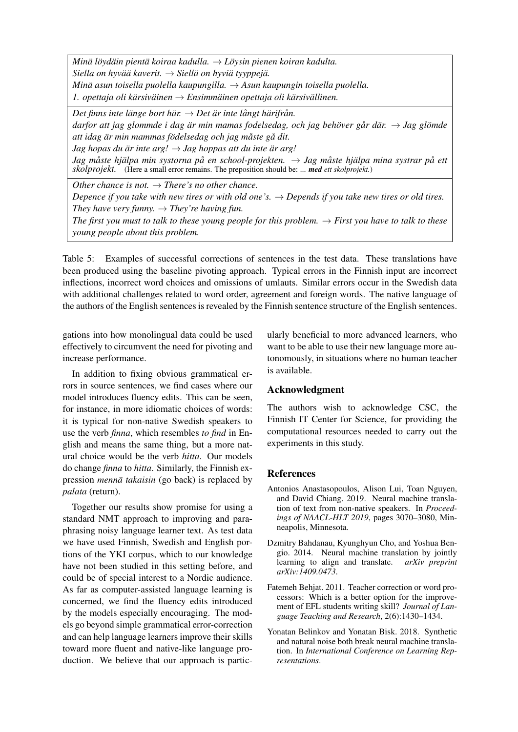*Mina l ¨ oyd ¨ ain pient ¨ a koiraa kadulla. ¨* → *Loysin pienen koiran kadulta. ¨*  $Siella$  *on hyvää kaverit.*  $\rightarrow$  *Siellä on hyviä tyyppeiä. Mina asun toisella puolella kaupungilla. ¨* → *Asun kaupungin toisella puolella.* 1. opettaja oli kärsiväinen  $\rightarrow$  *Ensimmäinen opettaja oli kärsivällinen.* 

*Det finns inte länge bort här.*  $\rightarrow$  *Det är inte långt härifrån. darfor att jag glommde i dag är min mamas fodelsedag, och jag behöver går där.*  $\rightarrow$  *Jag glömde att idag ar min mammas f ¨ odelsedag och jag m ¨ aste g ˚ a dit. ˚ Jag hopas du*  $\ddot{a}r$  *inte arg!*  $\rightarrow$  *Jag hoppas att du inte*  $\ddot{a}r$  *arg!* 

*Jag måste hjälpa min systorna på en school-projekten. → Jag måste hjälpa mina systrar på ett skolprojekt.* (Here a small error remains. The preposition should be: *... med ett skolprojekt.*)

*Other chance is not.*  $\rightarrow$  *There's no other chance. Depence if you take with new tires or with old one's.*  $\rightarrow$  *Depends if you take new tires or old tires. They have very funny.*  $\rightarrow$  *They're having fun. The first you must to talk to these young people for this problem.*  $\rightarrow$  *First you have to talk to these young people about this problem.*

<span id="page-8-4"></span>Table 5: Examples of successful corrections of sentences in the test data. These translations have been produced using the baseline pivoting approach. Typical errors in the Finnish input are incorrect inflections, incorrect word choices and omissions of umlauts. Similar errors occur in the Swedish data with additional challenges related to word order, agreement and foreign words. The native language of the authors of the English sentences is revealed by the Finnish sentence structure of the English sentences.

gations into how monolingual data could be used effectively to circumvent the need for pivoting and increase performance.

In addition to fixing obvious grammatical errors in source sentences, we find cases where our model introduces fluency edits. This can be seen, for instance, in more idiomatic choices of words: it is typical for non-native Swedish speakers to use the verb *finna*, which resembles *to find* in English and means the same thing, but a more natural choice would be the verb *hitta*. Our models do change *finna* to *hitta*. Similarly, the Finnish expression *mennä takaisin* (go back) is replaced by *palata* (return).

Together our results show promise for using a standard NMT approach to improving and paraphrasing noisy language learner text. As test data we have used Finnish, Swedish and English portions of the YKI corpus, which to our knowledge have not been studied in this setting before, and could be of special interest to a Nordic audience. As far as computer-assisted language learning is concerned, we find the fluency edits introduced by the models especially encouraging. The models go beyond simple grammatical error-correction and can help language learners improve their skills toward more fluent and native-like language production. We believe that our approach is particularly beneficial to more advanced learners, who want to be able to use their new language more autonomously, in situations where no human teacher is available.

## Acknowledgment

The authors wish to acknowledge CSC, the Finnish IT Center for Science, for providing the computational resources needed to carry out the experiments in this study.

## References

- <span id="page-8-1"></span>Antonios Anastasopoulos, Alison Lui, Toan Nguyen, and David Chiang. 2019. Neural machine translation of text from non-native speakers. In *Proceedings of NAACL-HLT 2019*, pages 3070–3080, Minneapolis, Minnesota.
- <span id="page-8-3"></span>Dzmitry Bahdanau, Kyunghyun Cho, and Yoshua Bengio. 2014. Neural machine translation by jointly learning to align and translate. *arXiv preprint arXiv:1409.0473*.
- <span id="page-8-0"></span>Fatemeh Behjat. 2011. Teacher correction or word processors: Which is a better option for the improvement of EFL students writing skill? *Journal of Language Teaching and Research*, 2(6):1430–1434.
- <span id="page-8-2"></span>Yonatan Belinkov and Yonatan Bisk. 2018. Synthetic and natural noise both break neural machine translation. In *International Conference on Learning Representations*.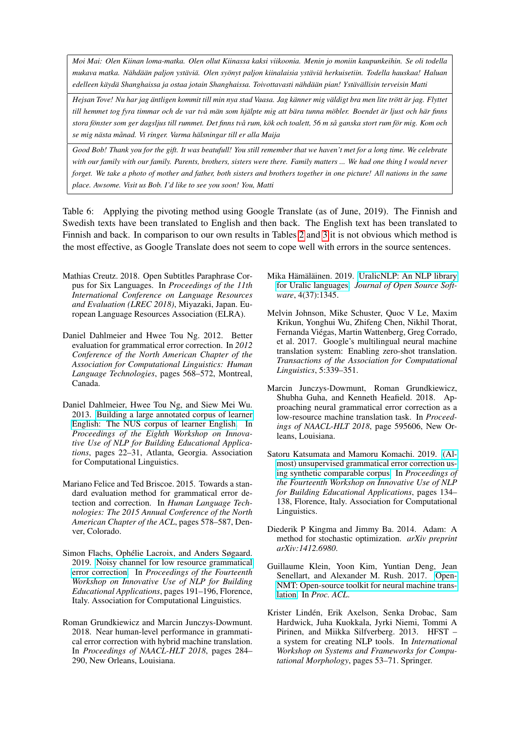*Moi Mai: Olen Kiinan loma-matka. Olen ollut Kiinassa kaksi viikoonia. Menin jo moniin kaupunkeihin. Se oli todella* mukava matka. Nähdään paljon ystäviä. Olen syönyt paljon kiinalaisia ystäviä herkuisetiin. Todella hauskaa! Haluan *edelleen kayd ¨ a Shanghaissa ja ostaa jotain Shanghaissa. Toivottavasti n ¨ ahd ¨ a¨an pian! Yst ¨ av¨ allisin terveisin Matti ¨*

*Hejsan Tove! Nu har jag äntligen kommit till min nya stad Vaasa. Jag känner mig väldigt bra men lite trött är jag. Flyttet* till hemmet tog fyra timmar och de var två män som hjälpte mig att bära tunna möbler. Boendet är ljust och här finns *stora fonster som ger dagsljus till rummet. Det finns tv ¨ a rum, k ˚ ok och toalett, 56 m s ¨ a ganska stort rum f ˚ or mig. Kom och ¨ se mig nasta m ¨ anad. Vi ringer. Varma h ˚ alsningar till er alla Maija ¨*

*Good Bob! Thank you for the gift. It was beatufull! You still remember that we haven't met for a long time. We celebrate with our family with our family. Parents, brothers, sisters were there. Family matters ... We had one thing I would never forget. We take a photo of mother and father, both sisters and brothers together in one picture! All nations in the same place. Awsome. Visit us Bob. I'd like to see you soon! You, Matti*

<span id="page-9-13"></span>Table 6: Applying the pivoting method using Google Translate (as of June, 2019). The Finnish and Swedish texts have been translated to English and then back. The English text has been translated to Finnish and back. In comparison to our own results in Tables [2](#page-6-0) and [3](#page-7-0) it is not obvious which method is the most effective, as Google Translate does not seem to cope well with errors in the source sentences.

- <span id="page-9-7"></span>Mathias Creutz. 2018. Open Subtitles Paraphrase Corpus for Six Languages. In *Proceedings of the 11th International Conference on Language Resources and Evaluation (LREC 2018)*, Miyazaki, Japan. European Language Resources Association (ELRA).
- <span id="page-9-1"></span>Daniel Dahlmeier and Hwee Tou Ng. 2012. Better evaluation for grammatical error correction. In *2012 Conference of the North American Chapter of the Association for Computational Linguistics: Human Language Technologies*, pages 568–572, Montreal, Canada.
- <span id="page-9-0"></span>Daniel Dahlmeier, Hwee Tou Ng, and Siew Mei Wu. 2013. [Building a large annotated corpus of learner](https://www.aclweb.org/anthology/W13-1703) [English: The NUS corpus of learner English.](https://www.aclweb.org/anthology/W13-1703) In *Proceedings of the Eighth Workshop on Innovative Use of NLP for Building Educational Applications*, pages 22–31, Atlanta, Georgia. Association for Computational Linguistics.
- <span id="page-9-2"></span>Mariano Felice and Ted Briscoe. 2015. Towards a standard evaluation method for grammatical error detection and correction. In *Human Language Technologies: The 2015 Annual Conference of the North American Chapter of the ACL*, pages 578–587, Denver, Colorado.
- <span id="page-9-5"></span>Simon Flachs, Ophélie Lacroix, and Anders Søgaard. 2019. [Noisy channel for low resource grammatical](https://www.aclweb.org/anthology/W19-4420) [error correction.](https://www.aclweb.org/anthology/W19-4420) In *Proceedings of the Fourteenth Workshop on Innovative Use of NLP for Building Educational Applications*, pages 191–196, Florence, Italy. Association for Computational Linguistics.
- <span id="page-9-3"></span>Roman Grundkiewicz and Marcin Junczys-Dowmunt. 2018. Near human-level performance in grammatical error correction with hybrid machine translation. In *Proceedings of NAACL-HLT 2018*, pages 284– 290, New Orleans, Louisiana.
- <span id="page-9-11"></span>Mika Hämäläinen. 2019. [UralicNLP: An NLP library](https://doi.org/10.21105/joss.01345) [for Uralic languages.](https://doi.org/10.21105/joss.01345) *Journal of Open Source Software*, 4(37):1345.
- <span id="page-9-8"></span>Melvin Johnson, Mike Schuster, Quoc V Le, Maxim Krikun, Yonghui Wu, Zhifeng Chen, Nikhil Thorat, Fernanda Viegas, Martin Wattenberg, Greg Corrado, ´ et al. 2017. Google's multilingual neural machine translation system: Enabling zero-shot translation. *Transactions of the Association for Computational Linguistics*, 5:339–351.
- <span id="page-9-4"></span>Marcin Junczys-Dowmunt, Roman Grundkiewicz, Shubha Guha, and Kenneth Heafield. 2018. Approaching neural grammatical error correction as a low-resource machine translation task. In *Proceedings of NAACL-HLT 2018*, page 595606, New Orleans, Louisiana.
- <span id="page-9-6"></span>Satoru Katsumata and Mamoru Komachi. 2019. [\(Al](https://www.aclweb.org/anthology/W19-4413)[most\) unsupervised grammatical error correction us](https://www.aclweb.org/anthology/W19-4413)[ing synthetic comparable corpus.](https://www.aclweb.org/anthology/W19-4413) In *Proceedings of the Fourteenth Workshop on Innovative Use of NLP for Building Educational Applications*, pages 134– 138, Florence, Italy. Association for Computational Linguistics.
- <span id="page-9-10"></span>Diederik P Kingma and Jimmy Ba. 2014. Adam: A method for stochastic optimization. *arXiv preprint arXiv:1412.6980*.
- <span id="page-9-9"></span>Guillaume Klein, Yoon Kim, Yuntian Deng, Jean Senellart, and Alexander M. Rush. 2017. [Open-](https://doi.org/10.18653/v1/P17-4012)[NMT: Open-source toolkit for neural machine trans](https://doi.org/10.18653/v1/P17-4012)[lation.](https://doi.org/10.18653/v1/P17-4012) In *Proc. ACL*.
- <span id="page-9-12"></span>Krister Linden, Erik Axelson, Senka Drobac, Sam ´ Hardwick, Juha Kuokkala, Jyrki Niemi, Tommi A Pirinen, and Miikka Silfverberg. 2013. HFST – a system for creating NLP tools. In *International Workshop on Systems and Frameworks for Computational Morphology*, pages 53–71. Springer.